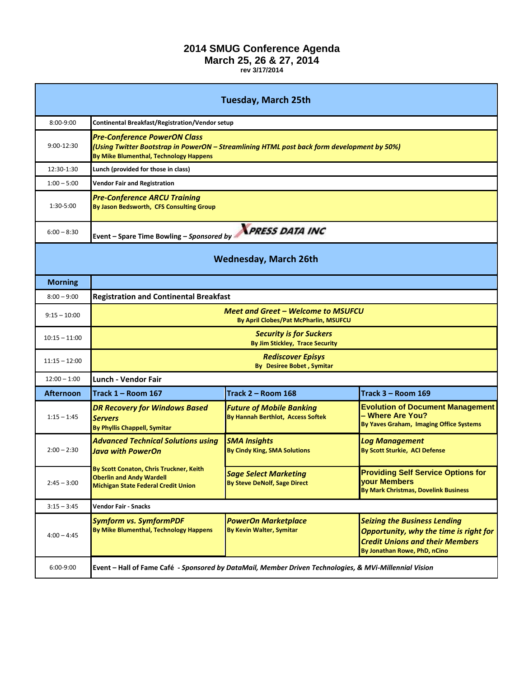## **2014 SMUG Conference Agenda**

## **March 25, 26 & 27, 2014**

**rev 3/17/2014**

| <b>Tuesday, March 25th</b>   |                                                                                                                                                                             |                                                                             |                                                                                                                                                         |  |
|------------------------------|-----------------------------------------------------------------------------------------------------------------------------------------------------------------------------|-----------------------------------------------------------------------------|---------------------------------------------------------------------------------------------------------------------------------------------------------|--|
| 8:00-9:00                    | Continental Breakfast/Registration/Vendor setup                                                                                                                             |                                                                             |                                                                                                                                                         |  |
| 9:00-12:30                   | <b>Pre-Conference PowerON Class</b><br>(Using Twitter Bootstrap in PowerON - Streamlining HTML post back form development by 50%)<br>By Mike Blumenthal, Technology Happens |                                                                             |                                                                                                                                                         |  |
| 12:30-1:30                   | Lunch (provided for those in class)                                                                                                                                         |                                                                             |                                                                                                                                                         |  |
| $1:00 - 5:00$                | <b>Vendor Fair and Registration</b>                                                                                                                                         |                                                                             |                                                                                                                                                         |  |
| $1:30-5:00$                  | <b>Pre-Conference ARCU Training</b><br>By Jason Bedsworth, CFS Consulting Group                                                                                             |                                                                             |                                                                                                                                                         |  |
| $6:00 - 8:30$                | <b>PRESS DATA INC</b><br>Event - Spare Time Bowling - Sponsored by                                                                                                          |                                                                             |                                                                                                                                                         |  |
| <b>Wednesday, March 26th</b> |                                                                                                                                                                             |                                                                             |                                                                                                                                                         |  |
| <b>Morning</b>               |                                                                                                                                                                             |                                                                             |                                                                                                                                                         |  |
| $8:00 - 9:00$                | <b>Registration and Continental Breakfast</b>                                                                                                                               |                                                                             |                                                                                                                                                         |  |
| $9:15 - 10:00$               | <b>Meet and Greet - Welcome to MSUFCU</b><br>By April Clobes/Pat McPharlin, MSUFCU                                                                                          |                                                                             |                                                                                                                                                         |  |
| $10:15 - 11:00$              | <b>Security is for Suckers</b><br>By Jim Stickley, Trace Security                                                                                                           |                                                                             |                                                                                                                                                         |  |
| $11:15 - 12:00$              | <b>Rediscover Episys</b><br><b>By Desiree Bobet, Symitar</b>                                                                                                                |                                                                             |                                                                                                                                                         |  |
| $12:00 - 1:00$               | Lunch - Vendor Fair                                                                                                                                                         |                                                                             |                                                                                                                                                         |  |
| Afternoon                    | Track 1 – Room 167                                                                                                                                                          | Track $2 -$ Room 168                                                        | Track 3 - Room 169                                                                                                                                      |  |
| $1:15 - 1:45$                | <b>DR Recovery for Windows Based</b><br><b>Servers</b><br><b>By Phyllis Chappell, Symitar</b>                                                                               | <b>Future of Mobile Banking</b><br><b>By Hannah Berthlot, Access Softek</b> | <b>Evolution of Document Management</b><br>- Where Are You?<br>By Yaves Graham, Imaging Office Systems                                                  |  |
| $2:00 - 2:30$                | <b>Advanced Technical Solutions using</b><br><b>Java with PowerOn</b>                                                                                                       | <b>SMA Insights</b><br><b>By Cindy King, SMA Solutions</b>                  | <b>Log Management</b><br>By Scott Sturkie, ACI Defense                                                                                                  |  |
| $2:45 - 3:00$                | By Scott Conaton, Chris Truckner, Keith<br><b>Oberlin and Andy Wardell</b><br><b>Michigan State Federal Credit Union</b>                                                    | <b>Sage Select Marketing</b><br>By Steve DeNolf, Sage Direct                | <b>Providing Self Service Options for</b><br>your Members<br><b>By Mark Christmas, Dovelink Business</b>                                                |  |
| $3:15 - 3:45$                | <b>Vendor Fair - Snacks</b>                                                                                                                                                 |                                                                             |                                                                                                                                                         |  |
| $4:00 - 4:45$                | <b>Symform vs. SymformPDF</b><br>By Mike Blumenthal, Technology Happens                                                                                                     | <b>PowerOn Marketplace</b><br><b>By Kevin Walter, Symitar</b>               | <b>Seizing the Business Lending</b><br>Opportunity, why the time is right for<br><b>Credit Unions and their Members</b><br>By Jonathan Rowe, PhD, nCino |  |
| 6:00-9:00                    | Event - Hall of Fame Café - Sponsored by DataMail, Member Driven Technologies, & MVi-Millennial Vision                                                                      |                                                                             |                                                                                                                                                         |  |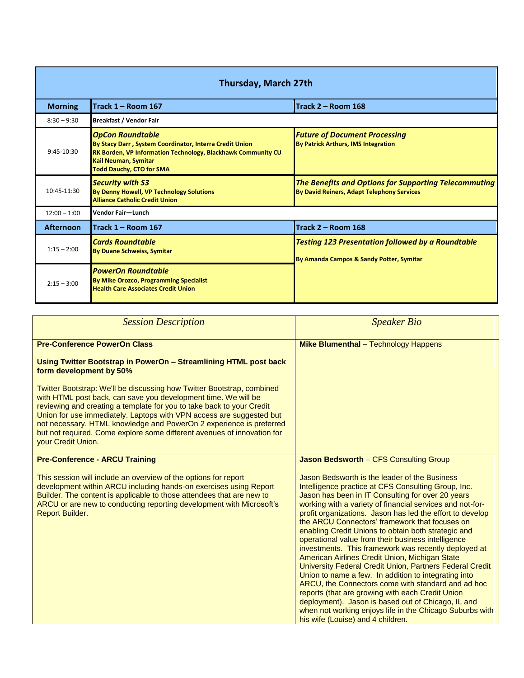<span id="page-1-0"></span>

| <b>Thursday, March 27th</b> |                                                                                                                                                                                                                      |                                                                                                            |  |  |
|-----------------------------|----------------------------------------------------------------------------------------------------------------------------------------------------------------------------------------------------------------------|------------------------------------------------------------------------------------------------------------|--|--|
| <b>Morning</b>              | <b>Track 1 - Room 167</b>                                                                                                                                                                                            | Track 2 - Room 168                                                                                         |  |  |
| $8:30 - 9:30$               | <b>Breakfast / Vendor Fair</b>                                                                                                                                                                                       |                                                                                                            |  |  |
| $9:45-10:30$                | <b>OpCon Roundtable</b><br>By Stacy Darr, System Coordinator, Interra Credit Union<br><b>RK Borden, VP Information Technology, Blackhawk Community CU</b><br>Kail Neuman, Symitar<br><b>Todd Dauchy, CTO for SMA</b> | <b>Future of Document Processing</b><br><b>By Patrick Arthurs, IMS Integration</b>                         |  |  |
| 10:45-11:30                 | <b>Security with S3</b><br>By Denny Howell, VP Technology Solutions<br><b>Alliance Catholic Credit Union</b>                                                                                                         | <b>The Benefits and Options for Supporting Telecommuting</b><br>By David Reiners, Adapt Telephony Services |  |  |
| $12:00 - 1:00$              | Vendor Fair-Lunch                                                                                                                                                                                                    |                                                                                                            |  |  |
| <b>Afternoon</b>            | <b>ITrack 1 – Room 167</b>                                                                                                                                                                                           | Track 2 - Room 168                                                                                         |  |  |
| $1:15 - 2:00$               | <b>Cards Roundtable</b><br><b>By Duane Schweiss, Symitar</b>                                                                                                                                                         | <b>Testing 123 Presentation followed by a Roundtable</b><br>By Amanda Campos & Sandy Potter, Symitar       |  |  |
| $2:15 - 3:00$               | <b>PowerOn Roundtable</b><br><b>By Mike Orozco, Programming Specialist</b><br><b>Health Care Associates Credit Union</b>                                                                                             |                                                                                                            |  |  |

| <b>Session Description</b>                                                                                                                                                                                                                                                                                                                                                                                                                                        | <b>Speaker Bio</b>                                                                                                                                                                                                                                                                                                                                                                                                                                                                                                                                                                                                                                                                                                                                                                                                                                                                                                                                |
|-------------------------------------------------------------------------------------------------------------------------------------------------------------------------------------------------------------------------------------------------------------------------------------------------------------------------------------------------------------------------------------------------------------------------------------------------------------------|---------------------------------------------------------------------------------------------------------------------------------------------------------------------------------------------------------------------------------------------------------------------------------------------------------------------------------------------------------------------------------------------------------------------------------------------------------------------------------------------------------------------------------------------------------------------------------------------------------------------------------------------------------------------------------------------------------------------------------------------------------------------------------------------------------------------------------------------------------------------------------------------------------------------------------------------------|
| <b>Pre-Conference PowerOn Class</b>                                                                                                                                                                                                                                                                                                                                                                                                                               | <b>Mike Blumenthal</b> - Technology Happens                                                                                                                                                                                                                                                                                                                                                                                                                                                                                                                                                                                                                                                                                                                                                                                                                                                                                                       |
| Using Twitter Bootstrap in PowerOn - Streamlining HTML post back<br>form development by 50%                                                                                                                                                                                                                                                                                                                                                                       |                                                                                                                                                                                                                                                                                                                                                                                                                                                                                                                                                                                                                                                                                                                                                                                                                                                                                                                                                   |
| Twitter Bootstrap: We'll be discussing how Twitter Bootstrap, combined<br>with HTML post back, can save you development time. We will be<br>reviewing and creating a template for you to take back to your Credit<br>Union for use immediately. Laptops with VPN access are suggested but<br>not necessary. HTML knowledge and PowerOn 2 experience is preferred<br>but not required. Come explore some different avenues of innovation for<br>vour Credit Union. |                                                                                                                                                                                                                                                                                                                                                                                                                                                                                                                                                                                                                                                                                                                                                                                                                                                                                                                                                   |
| <b>Pre-Conference - ARCU Training</b>                                                                                                                                                                                                                                                                                                                                                                                                                             | <b>Jason Bedsworth - CFS Consulting Group</b>                                                                                                                                                                                                                                                                                                                                                                                                                                                                                                                                                                                                                                                                                                                                                                                                                                                                                                     |
| This session will include an overview of the options for report<br>development within ARCU including hands-on exercises using Report<br>Builder. The content is applicable to those attendees that are new to<br>ARCU or are new to conducting reporting development with Microsoft's<br><b>Report Builder.</b>                                                                                                                                                   | Jason Bedsworth is the leader of the Business<br>Intelligence practice at CFS Consulting Group, Inc.<br>Jason has been in IT Consulting for over 20 years<br>working with a variety of financial services and not-for-<br>profit organizations. Jason has led the effort to develop<br>the ARCU Connectors' framework that focuses on<br>enabling Credit Unions to obtain both strategic and<br>operational value from their business intelligence<br>investments. This framework was recently deployed at<br>American Airlines Credit Union, Michigan State<br>University Federal Credit Union, Partners Federal Credit<br>Union to name a few. In addition to integrating into<br>ARCU, the Connectors come with standard and ad hoc<br>reports (that are growing with each Credit Union<br>deployment). Jason is based out of Chicago, IL and<br>when not working enjoys life in the Chicago Suburbs with<br>his wife (Louise) and 4 children. |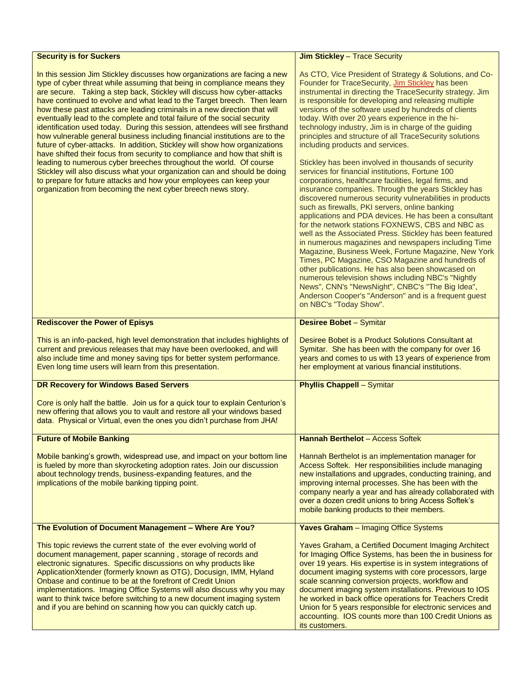<span id="page-2-0"></span>

| <b>Security is for Suckers</b>                                                                                                                                                                                                                                                                                                                                                                                                                                                                                                                                                                                                                                                                                                                                                                                                                                                                                                                                                                                                                                                          | <b>Jim Stickley - Trace Security</b>                                                                                                                                                                                                                                                                                                                                                                                                                                                                                                                                                                                                                                                                                                                                                                                                                                                                                                                                                                                                                                                                                                                                                                                                                                                                                                                                                                                                     |
|-----------------------------------------------------------------------------------------------------------------------------------------------------------------------------------------------------------------------------------------------------------------------------------------------------------------------------------------------------------------------------------------------------------------------------------------------------------------------------------------------------------------------------------------------------------------------------------------------------------------------------------------------------------------------------------------------------------------------------------------------------------------------------------------------------------------------------------------------------------------------------------------------------------------------------------------------------------------------------------------------------------------------------------------------------------------------------------------|------------------------------------------------------------------------------------------------------------------------------------------------------------------------------------------------------------------------------------------------------------------------------------------------------------------------------------------------------------------------------------------------------------------------------------------------------------------------------------------------------------------------------------------------------------------------------------------------------------------------------------------------------------------------------------------------------------------------------------------------------------------------------------------------------------------------------------------------------------------------------------------------------------------------------------------------------------------------------------------------------------------------------------------------------------------------------------------------------------------------------------------------------------------------------------------------------------------------------------------------------------------------------------------------------------------------------------------------------------------------------------------------------------------------------------------|
| In this session Jim Stickley discusses how organizations are facing a new<br>type of cyber threat while assuming that being in compliance means they<br>are secure. Taking a step back, Stickley will discuss how cyber-attacks<br>have continued to evolve and what lead to the Target breech. Then learn<br>how these past attacks are leading criminals in a new direction that will<br>eventually lead to the complete and total failure of the social security<br>identification used today. During this session, attendees will see firsthand<br>how vulnerable general business including financial institutions are to the<br>future of cyber-attacks. In addition, Stickley will show how organizations<br>have shifted their focus from security to compliance and how that shift is<br>leading to numerous cyber breeches throughout the world. Of course<br>Stickley will also discuss what your organization can and should be doing<br>to prepare for future attacks and how your employees can keep your<br>organization from becoming the next cyber breech news story. | As CTO, Vice President of Strategy & Solutions, and Co-<br>Founder for TraceSecurity, Jim Stickley has been<br>instrumental in directing the TraceSecurity strategy. Jim<br>is responsible for developing and releasing multiple<br>versions of the software used by hundreds of clients<br>today. With over 20 years experience in the hi-<br>technology industry, Jim is in charge of the guiding<br>principles and structure of all TraceSecurity solutions<br>including products and services.<br>Stickley has been involved in thousands of security<br>services for financial institutions, Fortune 100<br>corporations, healthcare facilities, legal firms, and<br>insurance companies. Through the years Stickley has<br>discovered numerous security vulnerabilities in products<br>such as firewalls, PKI servers, online banking<br>applications and PDA devices. He has been a consultant<br>for the network stations FOXNEWS, CBS and NBC as<br>well as the Associated Press. Stickley has been featured<br>in numerous magazines and newspapers including Time<br>Magazine, Business Week, Fortune Magazine, New York<br>Times, PC Magazine, CSO Magazine and hundreds of<br>other publications. He has also been showcased on<br>numerous television shows including NBC's "Nightly<br>News", CNN's "NewsNight", CNBC's "The Big Idea",<br>Anderson Cooper's "Anderson" and is a frequent guest<br>on NBC's "Today Show". |
| <b>Rediscover the Power of Episys</b>                                                                                                                                                                                                                                                                                                                                                                                                                                                                                                                                                                                                                                                                                                                                                                                                                                                                                                                                                                                                                                                   | <b>Desiree Bobet - Symitar</b>                                                                                                                                                                                                                                                                                                                                                                                                                                                                                                                                                                                                                                                                                                                                                                                                                                                                                                                                                                                                                                                                                                                                                                                                                                                                                                                                                                                                           |
| This is an info-packed, high level demonstration that includes highlights of<br>current and previous releases that may have been overlooked, and will<br>also include time and money saving tips for better system performance.<br>Even long time users will learn from this presentation.                                                                                                                                                                                                                                                                                                                                                                                                                                                                                                                                                                                                                                                                                                                                                                                              | Desiree Bobet is a Product Solutions Consultant at<br>Symitar. She has been with the company for over 16<br>years and comes to us with 13 years of experience from<br>her employment at various financial institutions.                                                                                                                                                                                                                                                                                                                                                                                                                                                                                                                                                                                                                                                                                                                                                                                                                                                                                                                                                                                                                                                                                                                                                                                                                  |
| DR Recovery for Windows Based Servers                                                                                                                                                                                                                                                                                                                                                                                                                                                                                                                                                                                                                                                                                                                                                                                                                                                                                                                                                                                                                                                   | <b>Phyllis Chappell - Symitar</b>                                                                                                                                                                                                                                                                                                                                                                                                                                                                                                                                                                                                                                                                                                                                                                                                                                                                                                                                                                                                                                                                                                                                                                                                                                                                                                                                                                                                        |
| Core is only half the battle. Join us for a quick tour to explain Centurion's<br>new offering that allows you to vault and restore all your windows based<br>data. Physical or Virtual, even the ones you didn't purchase from JHA!                                                                                                                                                                                                                                                                                                                                                                                                                                                                                                                                                                                                                                                                                                                                                                                                                                                     |                                                                                                                                                                                                                                                                                                                                                                                                                                                                                                                                                                                                                                                                                                                                                                                                                                                                                                                                                                                                                                                                                                                                                                                                                                                                                                                                                                                                                                          |
| <b>Future of Mobile Banking</b>                                                                                                                                                                                                                                                                                                                                                                                                                                                                                                                                                                                                                                                                                                                                                                                                                                                                                                                                                                                                                                                         | <b>Hannah Berthelot - Access Softek</b>                                                                                                                                                                                                                                                                                                                                                                                                                                                                                                                                                                                                                                                                                                                                                                                                                                                                                                                                                                                                                                                                                                                                                                                                                                                                                                                                                                                                  |
| Mobile banking's growth, widespread use, and impact on your bottom line<br>is fueled by more than skyrocketing adoption rates. Join our discussion<br>about technology trends, business-expanding features, and the<br>implications of the mobile banking tipping point.                                                                                                                                                                                                                                                                                                                                                                                                                                                                                                                                                                                                                                                                                                                                                                                                                | Hannah Berthelot is an implementation manager for<br>Access Softek. Her responsibilities include managing<br>new installations and upgrades, conducting training, and<br>improving internal processes. She has been with the<br>company nearly a year and has already collaborated with<br>over a dozen credit unions to bring Access Softek's<br>mobile banking products to their members.                                                                                                                                                                                                                                                                                                                                                                                                                                                                                                                                                                                                                                                                                                                                                                                                                                                                                                                                                                                                                                              |
| The Evolution of Document Management - Where Are You?                                                                                                                                                                                                                                                                                                                                                                                                                                                                                                                                                                                                                                                                                                                                                                                                                                                                                                                                                                                                                                   | <b>Yaves Graham</b> - Imaging Office Systems                                                                                                                                                                                                                                                                                                                                                                                                                                                                                                                                                                                                                                                                                                                                                                                                                                                                                                                                                                                                                                                                                                                                                                                                                                                                                                                                                                                             |
| This topic reviews the current state of the ever evolving world of<br>document management, paper scanning, storage of records and<br>electronic signatures. Specific discussions on why products like<br>ApplicationXtender (formerly known as OTG), Docusign, IMM, Hyland<br>Onbase and continue to be at the forefront of Credit Union<br>implementations. Imaging Office Systems will also discuss why you may<br>want to think twice before switching to a new document imaging system<br>and if you are behind on scanning how you can quickly catch up.                                                                                                                                                                                                                                                                                                                                                                                                                                                                                                                           | Yaves Graham, a Certified Document Imaging Architect<br>for Imaging Office Systems, has been the in business for<br>over 19 years. His expertise is in system integrations of<br>document imaging systems with core processors, large<br>scale scanning conversion projects, workflow and<br>document imaging system installations. Previous to IOS<br>he worked in back office operations for Teachers Credit<br>Union for 5 years responsible for electronic services and<br>accounting. IOS counts more than 100 Credit Unions as<br>its customers.                                                                                                                                                                                                                                                                                                                                                                                                                                                                                                                                                                                                                                                                                                                                                                                                                                                                                   |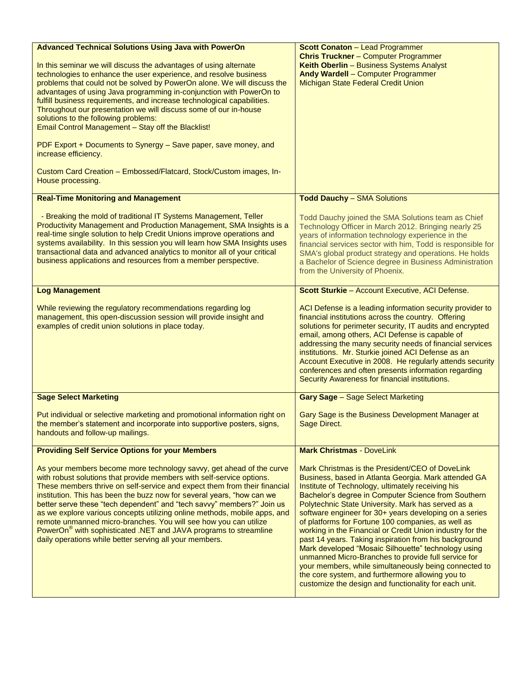<span id="page-3-0"></span>

| <b>Advanced Technical Solutions Using Java with PowerOn</b>                                                                                         | <b>Scott Conaton - Lead Programmer</b>                                                                           |
|-----------------------------------------------------------------------------------------------------------------------------------------------------|------------------------------------------------------------------------------------------------------------------|
| In this seminar we will discuss the advantages of using alternate                                                                                   | <b>Chris Truckner</b> - Computer Programmer<br>Keith Oberlin - Business Systems Analyst                          |
| technologies to enhance the user experience, and resolve business                                                                                   | Andy Wardell - Computer Programmer                                                                               |
| problems that could not be solved by PowerOn alone. We will discuss the                                                                             | Michigan State Federal Credit Union                                                                              |
| advantages of using Java programming in-conjunction with PowerOn to                                                                                 |                                                                                                                  |
| fulfill business requirements, and increase technological capabilities.<br>Throughout our presentation we will discuss some of our in-house         |                                                                                                                  |
| solutions to the following problems:                                                                                                                |                                                                                                                  |
| Email Control Management - Stay off the Blacklist!                                                                                                  |                                                                                                                  |
| PDF Export + Documents to Synergy - Save paper, save money, and<br>increase efficiency.                                                             |                                                                                                                  |
| Custom Card Creation - Embossed/Flatcard, Stock/Custom images, In-<br>House processing.                                                             |                                                                                                                  |
| <b>Real-Time Monitoring and Management</b>                                                                                                          | <b>Todd Dauchy - SMA Solutions</b>                                                                               |
|                                                                                                                                                     |                                                                                                                  |
| - Breaking the mold of traditional IT Systems Management, Teller                                                                                    | Todd Dauchy joined the SMA Solutions team as Chief                                                               |
| Productivity Management and Production Management, SMA Insights is a<br>real-time single solution to help Credit Unions improve operations and      | Technology Officer in March 2012. Bringing nearly 25                                                             |
| systems availability. In this session you will learn how SMA Insights uses                                                                          | years of information technology experience in the<br>financial services sector with him, Todd is responsible for |
| transactional data and advanced analytics to monitor all of your critical                                                                           | SMA's global product strategy and operations. He holds                                                           |
| business applications and resources from a member perspective.                                                                                      | a Bachelor of Science degree in Business Administration                                                          |
|                                                                                                                                                     | from the University of Phoenix.                                                                                  |
| <b>Log Management</b>                                                                                                                               | Scott Sturkie - Account Executive, ACI Defense.                                                                  |
|                                                                                                                                                     |                                                                                                                  |
| While reviewing the regulatory recommendations regarding log                                                                                        | ACI Defense is a leading information security provider to                                                        |
| management, this open-discussion session will provide insight and<br>examples of credit union solutions in place today.                             | financial institutions across the country. Offering<br>solutions for perimeter security, IT audits and encrypted |
|                                                                                                                                                     | email, among others, ACI Defense is capable of                                                                   |
|                                                                                                                                                     | addressing the many security needs of financial services                                                         |
|                                                                                                                                                     | institutions. Mr. Sturkie joined ACI Defense as an                                                               |
|                                                                                                                                                     | Account Executive in 2008. He regularly attends security<br>conferences and often presents information regarding |
|                                                                                                                                                     | Security Awareness for financial institutions.                                                                   |
|                                                                                                                                                     |                                                                                                                  |
| <b>Sage Select Marketing</b>                                                                                                                        | <b>Gary Sage - Sage Select Marketing</b>                                                                         |
| Put individual or selective marketing and promotional information right on                                                                          | Gary Sage is the Business Development Manager at                                                                 |
| the member's statement and incorporate into supportive posters, signs,                                                                              | Sage Direct.                                                                                                     |
| handouts and follow-up mailings.                                                                                                                    |                                                                                                                  |
| <b>Providing Self Service Options for your Members</b>                                                                                              | <b>Mark Christmas - DoveLink</b>                                                                                 |
| As your members become more technology savvy, get ahead of the curve                                                                                | Mark Christmas is the President/CEO of DoveLink                                                                  |
| with robust solutions that provide members with self-service options.                                                                               | Business, based in Atlanta Georgia. Mark attended GA                                                             |
| These members thrive on self-service and expect them from their financial                                                                           | Institute of Technology, ultimately receiving his                                                                |
| institution. This has been the buzz now for several years, "how can we                                                                              | Bachelor's degree in Computer Science from Southern                                                              |
| better serve these "tech dependent" and "tech savvy" members?" Join us<br>as we explore various concepts utilizing online methods, mobile apps, and | Polytechnic State University. Mark has served as a<br>software engineer for 30+ years developing on a series     |
| remote unmanned micro-branches. You will see how you can utilize                                                                                    | of platforms for Fortune 100 companies, as well as                                                               |
| PowerOn <sup>®</sup> with sophisticated .NET and JAVA programs to streamline                                                                        | working in the Financial or Credit Union industry for the                                                        |
| daily operations while better serving all your members.                                                                                             | past 14 years. Taking inspiration from his background                                                            |
|                                                                                                                                                     | Mark developed "Mosaic Silhouette" technology using                                                              |
|                                                                                                                                                     | unmanned Micro-Branches to provide full service for<br>your members, while simultaneously being connected to     |
|                                                                                                                                                     | the core system, and furthermore allowing you to                                                                 |
|                                                                                                                                                     | customize the design and functionality for each unit.                                                            |
|                                                                                                                                                     |                                                                                                                  |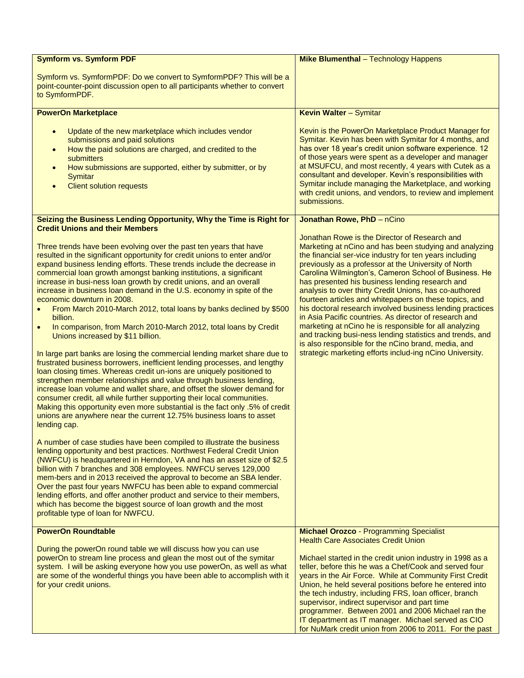<span id="page-4-0"></span>

| <b>Symform vs. Symform PDF</b>                                                                                                                                                                                                                                                                                                                                                                                                                                                                                                                                                                                                                                                                                                                                                                                                                                                                                                                                                                                                                                                                                                                                                                                                                                                                                                                                                                                                                                                                                                                                                                                                                                                                                                                                                    | <b>Mike Blumenthal</b> - Technology Happens                                                                                                                                                                                                                                                                                                                                                                                                                                                                                                                                                                                                                                                                                                                                                                                 |
|-----------------------------------------------------------------------------------------------------------------------------------------------------------------------------------------------------------------------------------------------------------------------------------------------------------------------------------------------------------------------------------------------------------------------------------------------------------------------------------------------------------------------------------------------------------------------------------------------------------------------------------------------------------------------------------------------------------------------------------------------------------------------------------------------------------------------------------------------------------------------------------------------------------------------------------------------------------------------------------------------------------------------------------------------------------------------------------------------------------------------------------------------------------------------------------------------------------------------------------------------------------------------------------------------------------------------------------------------------------------------------------------------------------------------------------------------------------------------------------------------------------------------------------------------------------------------------------------------------------------------------------------------------------------------------------------------------------------------------------------------------------------------------------|-----------------------------------------------------------------------------------------------------------------------------------------------------------------------------------------------------------------------------------------------------------------------------------------------------------------------------------------------------------------------------------------------------------------------------------------------------------------------------------------------------------------------------------------------------------------------------------------------------------------------------------------------------------------------------------------------------------------------------------------------------------------------------------------------------------------------------|
| Symform vs. SymformPDF: Do we convert to SymformPDF? This will be a<br>point-counter-point discussion open to all participants whether to convert<br>to SymformPDF.                                                                                                                                                                                                                                                                                                                                                                                                                                                                                                                                                                                                                                                                                                                                                                                                                                                                                                                                                                                                                                                                                                                                                                                                                                                                                                                                                                                                                                                                                                                                                                                                               |                                                                                                                                                                                                                                                                                                                                                                                                                                                                                                                                                                                                                                                                                                                                                                                                                             |
| <b>PowerOn Marketplace</b>                                                                                                                                                                                                                                                                                                                                                                                                                                                                                                                                                                                                                                                                                                                                                                                                                                                                                                                                                                                                                                                                                                                                                                                                                                                                                                                                                                                                                                                                                                                                                                                                                                                                                                                                                        | <b>Kevin Walter - Symitar</b>                                                                                                                                                                                                                                                                                                                                                                                                                                                                                                                                                                                                                                                                                                                                                                                               |
| Update of the new marketplace which includes vendor<br>submissions and paid solutions<br>How the paid solutions are charged, and credited to the<br>$\bullet$<br>submitters<br>How submissions are supported, either by submitter, or by<br><b>Symitar</b><br><b>Client solution requests</b>                                                                                                                                                                                                                                                                                                                                                                                                                                                                                                                                                                                                                                                                                                                                                                                                                                                                                                                                                                                                                                                                                                                                                                                                                                                                                                                                                                                                                                                                                     | Kevin is the PowerOn Marketplace Product Manager for<br>Symitar. Kevin has been with Symitar for 4 months, and<br>has over 18 year's credit union software experience. 12<br>of those years were spent as a developer and manager<br>at MSUFCU, and most recently, 4 years with Cutek as a<br>consultant and developer. Kevin's responsibilities with<br>Symitar include managing the Marketplace, and working<br>with credit unions, and vendors, to review and implement<br>submissions.                                                                                                                                                                                                                                                                                                                                  |
| Seizing the Business Lending Opportunity, Why the Time is Right for<br><b>Credit Unions and their Members</b>                                                                                                                                                                                                                                                                                                                                                                                                                                                                                                                                                                                                                                                                                                                                                                                                                                                                                                                                                                                                                                                                                                                                                                                                                                                                                                                                                                                                                                                                                                                                                                                                                                                                     | Jonathan Rowe, PhD - nCino                                                                                                                                                                                                                                                                                                                                                                                                                                                                                                                                                                                                                                                                                                                                                                                                  |
| Three trends have been evolving over the past ten years that have<br>resulted in the significant opportunity for credit unions to enter and/or<br>expand business lending efforts. These trends include the decrease in<br>commercial loan growth amongst banking institutions, a significant<br>increase in busi-ness loan growth by credit unions, and an overall<br>increase in business loan demand in the U.S. economy in spite of the<br>economic downturn in 2008.<br>From March 2010-March 2012, total loans by banks declined by \$500<br>$\bullet$<br>billion.<br>In comparison, from March 2010-March 2012, total loans by Credit<br>$\bullet$<br>Unions increased by \$11 billion.<br>In large part banks are losing the commercial lending market share due to<br>frustrated business borrowers, inefficient lending processes, and lengthy<br>loan closing times. Whereas credit un-ions are uniquely positioned to<br>strengthen member relationships and value through business lending,<br>increase loan volume and wallet share, and offset the slower demand for<br>consumer credit, all while further supporting their local communities.<br>Making this opportunity even more substantial is the fact only .5% of credit<br>unions are anywhere near the current 12.75% business loans to asset<br>lending cap.<br>A number of case studies have been compiled to illustrate the business<br>lending opportunity and best practices. Northwest Federal Credit Union<br>(NWFCU) is headquartered in Herndon, VA and has an asset size of \$2.5<br>billion with 7 branches and 308 employees. NWFCU serves 129,000<br>mem-bers and in 2013 received the approval to become an SBA lender.<br>Over the past four years NWFCU has been able to expand commercial | Jonathan Rowe is the Director of Research and<br>Marketing at nCino and has been studying and analyzing<br>the financial ser-vice industry for ten years including<br>previously as a professor at the University of North<br>Carolina Wilmington's, Cameron School of Business. He<br>has presented his business lending research and<br>analysis to over thirty Credit Unions, has co-authored<br>fourteen articles and whitepapers on these topics, and<br>his doctoral research involved business lending practices<br>in Asia Pacific countries. As director of research and<br>marketing at nCino he is responsible for all analyzing<br>and tracking busi-ness lending statistics and trends, and<br>is also responsible for the nCino brand, media, and<br>strategic marketing efforts includ-ing nCino University. |
| lending efforts, and offer another product and service to their members,<br>which has become the biggest source of loan growth and the most                                                                                                                                                                                                                                                                                                                                                                                                                                                                                                                                                                                                                                                                                                                                                                                                                                                                                                                                                                                                                                                                                                                                                                                                                                                                                                                                                                                                                                                                                                                                                                                                                                       |                                                                                                                                                                                                                                                                                                                                                                                                                                                                                                                                                                                                                                                                                                                                                                                                                             |
| profitable type of loan for NWFCU.                                                                                                                                                                                                                                                                                                                                                                                                                                                                                                                                                                                                                                                                                                                                                                                                                                                                                                                                                                                                                                                                                                                                                                                                                                                                                                                                                                                                                                                                                                                                                                                                                                                                                                                                                |                                                                                                                                                                                                                                                                                                                                                                                                                                                                                                                                                                                                                                                                                                                                                                                                                             |
| <b>PowerOn Roundtable</b>                                                                                                                                                                                                                                                                                                                                                                                                                                                                                                                                                                                                                                                                                                                                                                                                                                                                                                                                                                                                                                                                                                                                                                                                                                                                                                                                                                                                                                                                                                                                                                                                                                                                                                                                                         | <b>Michael Orozco - Programming Specialist</b><br><b>Health Care Associates Credit Union</b>                                                                                                                                                                                                                                                                                                                                                                                                                                                                                                                                                                                                                                                                                                                                |
| During the powerOn round table we will discuss how you can use<br>powerOn to stream line process and glean the most out of the symitar<br>system. I will be asking everyone how you use powerOn, as well as what<br>are some of the wonderful things you have been able to accomplish with it<br>for your credit unions.                                                                                                                                                                                                                                                                                                                                                                                                                                                                                                                                                                                                                                                                                                                                                                                                                                                                                                                                                                                                                                                                                                                                                                                                                                                                                                                                                                                                                                                          | Michael started in the credit union industry in 1998 as a<br>teller, before this he was a Chef/Cook and served four<br>years in the Air Force. While at Community First Credit<br>Union, he held several positions before he entered into<br>the tech industry, including FRS, loan officer, branch<br>supervisor, indirect supervisor and part time<br>programmer. Between 2001 and 2006 Michael ran the<br>IT department as IT manager. Michael served as CIO<br>for NuMark credit union from 2006 to 2011. For the past                                                                                                                                                                                                                                                                                                  |